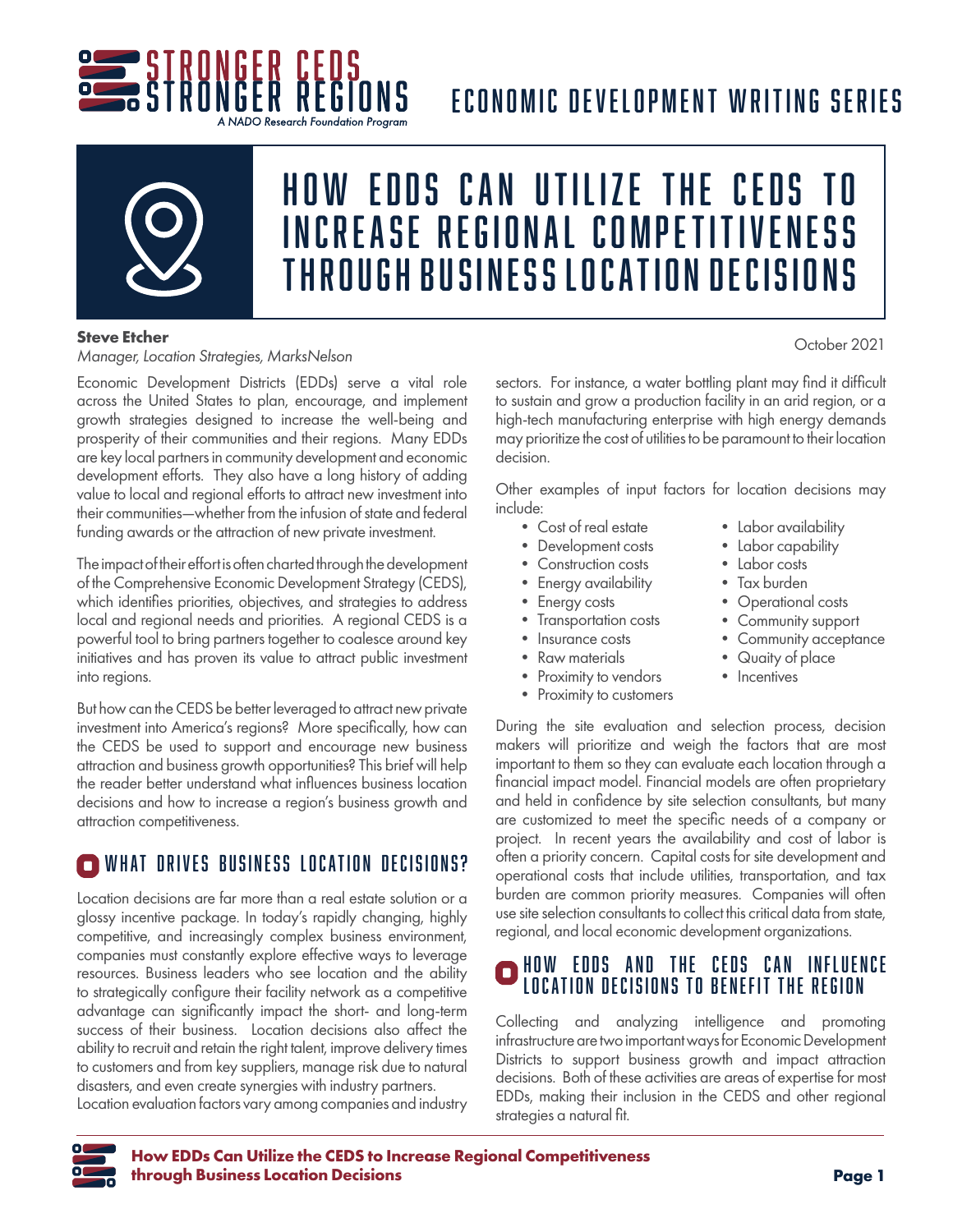

# ECONOMIC DEVELOPMENT WRITING SERIES

A NADO Research Foundation Program



# HOW EDDS CAN UTILIZE THE CEDS INCREASE REGIONAL COMPETITIVENESS THROUGH BUSINESS LOCATION DECISIONS

### **Steve Etcher**

*Manager, Location Strategies, MarksNelson*

Economic Development Districts (EDDs) serve a vital role across the United States to plan, encourage, and implement growth strategies designed to increase the well-being and prosperity of their communities and their regions. Many EDDs are key local partners in community development and economic development efforts. They also have a long history of adding value to local and regional efforts to attract new investment into their communities—whether from the infusion of state and federal funding awards or the attraction of new private investment.

The impact of their effort is often charted through the development of the Comprehensive Economic Development Strategy (CEDS), which identifies priorities, objectives, and strategies to address local and regional needs and priorities. A regional CEDS is a powerful tool to bring partners together to coalesce around key initiatives and has proven its value to attract public investment into regions.

But how can the CEDS be better leveraged to attract new private investment into America's regions? More specifically, how can the CEDS be used to support and encourage new business attraction and business growth opportunities? This brief will help the reader better understand what influences business location decisions and how to increase a region's business growth and attraction competitiveness.

## WHAT DRIVES BUSINESS LOCATION DECISIONS?

Location decisions are far more than a real estate solution or a glossy incentive package. In today's rapidly changing, highly competitive, and increasingly complex business environment, companies must constantly explore effective ways to leverage resources. Business leaders who see location and the ability to strategically configure their facility network as a competitive advantage can significantly impact the short- and long-term success of their business. Location decisions also affect the ability to recruit and retain the right talent, improve delivery times to customers and from key suppliers, manage risk due to natural disasters, and even create synergies with industry partners.

Location evaluation factors vary among companies and industry

sectors. For instance, a water bottling plant may find it difficult to sustain and grow a production facility in an arid region, or a high-tech manufacturing enterprise with high energy demands may prioritize the cost of utilities to be paramount to their location decision.

Other examples of input factors for location decisions may include:

- Cost of real estate
- Development costs
- Construction costs
- Energy availability
- Energy costs
- Transportation costs
- Insurance costs
- Raw materials
- Proximity to vendors
- Proximity to customers
- Labor availability
- Labor capability
- Labor costs
- Tax burden
- Operational costs
- Community support
- Community acceptance
- Quaity of place
- Incentives

During the site evaluation and selection process, decision makers will prioritize and weigh the factors that are most important to them so they can evaluate each location through a financial impact model. Financial models are often proprietary and held in confidence by site selection consultants, but many are customized to meet the specific needs of a company or project. In recent years the availability and cost of labor is often a priority concern. Capital costs for site development and operational costs that include utilities, transportation, and tax burden are common priority measures. Companies will often use site selection consultants to collect this critical data from state, regional, and local economic development organizations.

## HOW EDDS AND THE CEDS CAN INFLUENCE LOCATION DECISIONS TO BENEFIT THE REGION

Collecting and analyzing intelligence and promoting infrastructure are two important ways for Economic Development Districts to support business growth and impact attraction decisions. Both of these activities are areas of expertise for most EDDs, making their inclusion in the CEDS and other regional strategies a natural fit.

October 2021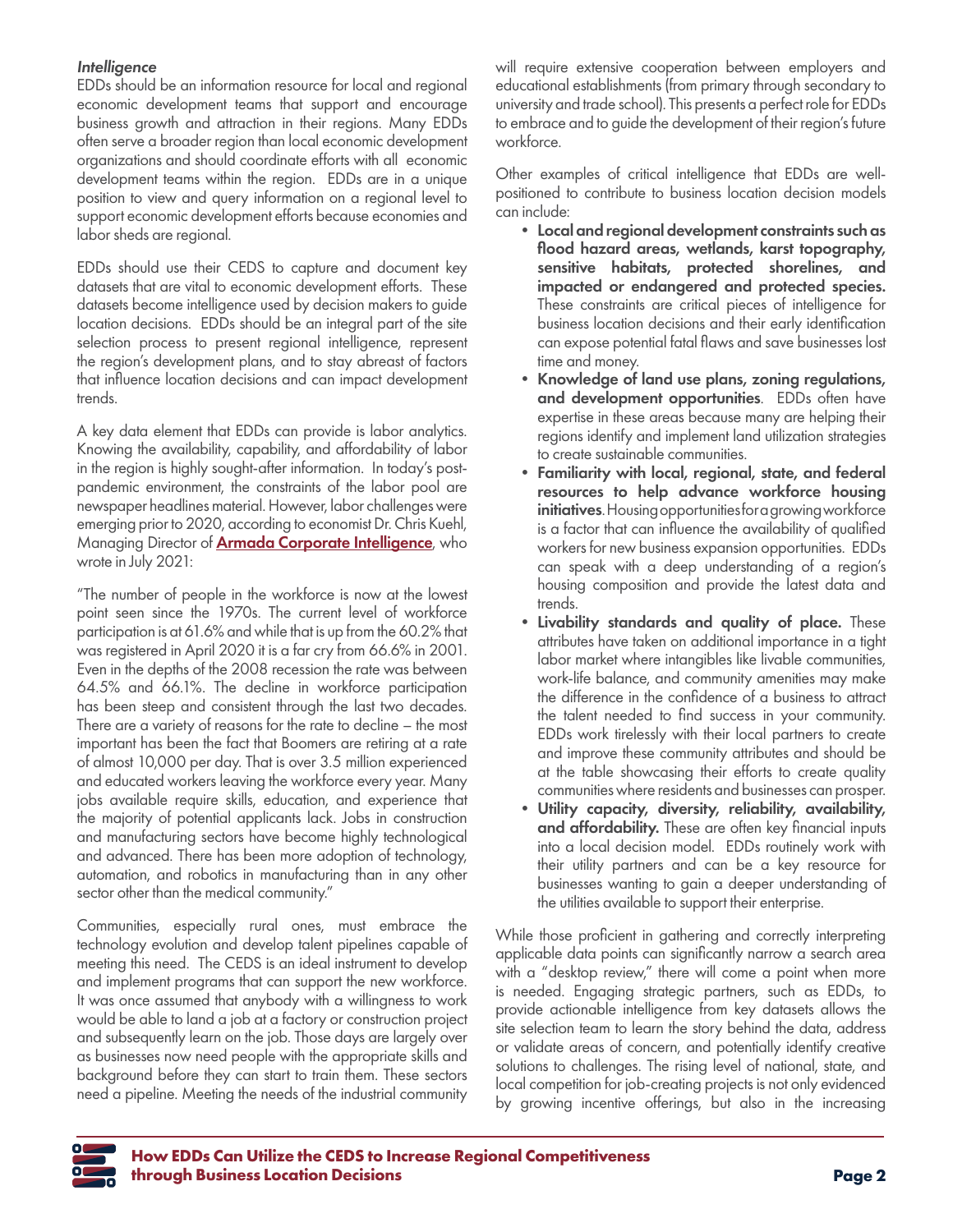### *Intelligence*

EDDs should be an information resource for local and regional economic development teams that support and encourage business growth and attraction in their regions. Many EDDs often serve a broader region than local economic development organizations and should coordinate efforts with all economic development teams within the region. EDDs are in a unique position to view and query information on a regional level to support economic development efforts because economies and labor sheds are regional.

EDDs should use their CEDS to capture and document key datasets that are vital to economic development efforts. These datasets become intelligence used by decision makers to guide location decisions. EDDs should be an integral part of the site selection process to present regional intelligence, represent the region's development plans, and to stay abreast of factors that influence location decisions and can impact development trends.

A key data element that EDDs can provide is labor analytics. Knowing the availability, capability, and affordability of labor in the region is highly sought-after information. In today's postpandemic environment, the constraints of the labor pool are newspaper headlines material. However, labor challenges were emerging prior to 2020, according to economist Dr. Chris Kuehl, Managing Director of **[Armada Corporate Intelligence](https://armada-intel.com/)**, who wrote in July 2021:

"The number of people in the workforce is now at the lowest point seen since the 1970s. The current level of workforce participation is at 61.6% and while that is up from the 60.2% that was registered in April 2020 it is a far cry from 66.6% in 2001. Even in the depths of the 2008 recession the rate was between 64.5% and 66.1%. The decline in workforce participation has been steep and consistent through the last two decades. There are a variety of reasons for the rate to decline – the most important has been the fact that Boomers are retiring at a rate of almost 10,000 per day. That is over 3.5 million experienced and educated workers leaving the workforce every year. Many jobs available require skills, education, and experience that the majority of potential applicants lack. Jobs in construction and manufacturing sectors have become highly technological and advanced. There has been more adoption of technology, automation, and robotics in manufacturing than in any other sector other than the medical community."

Communities, especially rural ones, must embrace the technology evolution and develop talent pipelines capable of meeting this need. The CEDS is an ideal instrument to develop and implement programs that can support the new workforce. It was once assumed that anybody with a willingness to work would be able to land a job at a factory or construction project and subsequently learn on the job. Those days are largely over as businesses now need people with the appropriate skills and background before they can start to train them. These sectors need a pipeline. Meeting the needs of the industrial community

will require extensive cooperation between employers and educational establishments (from primary through secondary to university and trade school). This presents a perfect role for EDDs to embrace and to guide the development of their region's future workforce.

Other examples of critical intelligence that EDDs are wellpositioned to contribute to business location decision models can include:

- Local and regional development constraints such as flood hazard areas, wetlands, karst topography, sensitive habitats, protected shorelines, and impacted or endangered and protected species. These constraints are critical pieces of intelligence for business location decisions and their early identification can expose potential fatal flaws and save businesses lost time and money.
- Knowledge of land use plans, zoning regulations, and development opportunities. EDDs often have expertise in these areas because many are helping their regions identify and implement land utilization strategies to create sustainable communities.
- Familiarity with local, regional, state, and federal resources to help advance workforce housing initiatives. Housing opportunities for a growing workforce is a factor that can influence the availability of qualified workers for new business expansion opportunities. EDDs can speak with a deep understanding of a region's housing composition and provide the latest data and trends.
- Livability standards and quality of place. These attributes have taken on additional importance in a tight labor market where intangibles like livable communities, work-life balance, and community amenities may make the difference in the confidence of a business to attract the talent needed to find success in your community. EDDs work tirelessly with their local partners to create and improve these community attributes and should be at the table showcasing their efforts to create quality communities where residents and businesses can prosper.
- Utility capacity, diversity, reliability, availability, and affordability. These are often key financial inputs into a local decision model. EDDs routinely work with their utility partners and can be a key resource for businesses wanting to gain a deeper understanding of the utilities available to support their enterprise.

While those proficient in gathering and correctly interpreting applicable data points can significantly narrow a search area with a "desktop review," there will come a point when more is needed. Engaging strategic partners, such as EDDs, to provide actionable intelligence from key datasets allows the site selection team to learn the story behind the data, address or validate areas of concern, and potentially identify creative solutions to challenges. The rising level of national, state, and local competition for job-creating projects is not only evidenced by growing incentive offerings, but also in the increasing